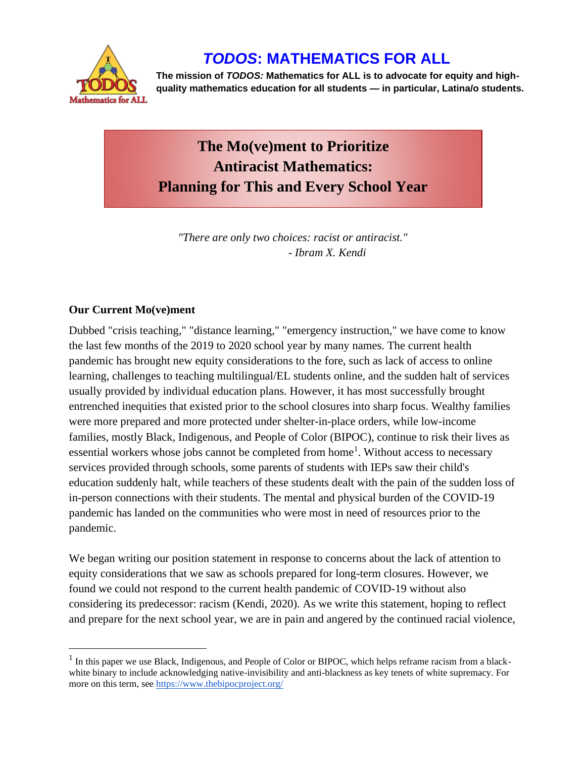

## *TODOS***: MATHEMATICS FOR ALL**

**The mission of** *TODOS:* **Mathematics for ALL is to advocate for equity and highquality mathematics education for all students — in particular, Latina/o students.**

# **The Mo(ve)ment to Prioritize Antiracist Mathematics: Planning for This and Every School Year**

*"There are only two choices: racist or antiracist." - Ibram X. Kendi*

### **Our Current Mo(ve)ment**

Dubbed "crisis teaching," "distance learning," "emergency instruction," we have come to know the last few months of the 2019 to 2020 school year by many names. The current health pandemic has brought new equity considerations to the fore, such as lack of access to online learning, challenges to teaching multilingual/EL students online, and the sudden halt of services usually provided by individual education plans. However, it has most successfully brought entrenched inequities that existed prior to the school closures into sharp focus. Wealthy families were more prepared and more protected under shelter-in-place orders, while low-income families, mostly Black, Indigenous, and People of Color (BIPOC), continue to risk their lives as essential workers whose jobs cannot be completed from home<sup>1</sup>. Without access to necessary services provided through schools, some parents of students with IEPs saw their child's education suddenly halt, while teachers of these students dealt with the pain of the sudden loss of in-person connections with their students. The mental and physical burden of the COVID-19 pandemic has landed on the communities who were most in need of resources prior to the pandemic.

We began writing our position statement in response to concerns about the lack of attention to equity considerations that we saw as schools prepared for long-term closures. However, we found we could not respond to the current health pandemic of COVID-19 without also considering its predecessor: racism (Kendi, 2020). As we write this statement, hoping to reflect and prepare for the next school year, we are in pain and angered by the continued racial violence,

 $<sup>1</sup>$  In this paper we use Black, Indigenous, and People of Color or BIPOC, which helps reframe racism from a black-</sup> white binary to include acknowledging native-invisibility and anti-blackness as key tenets of white supremacy. For more on this term, see<https://www.thebipocproject.org/>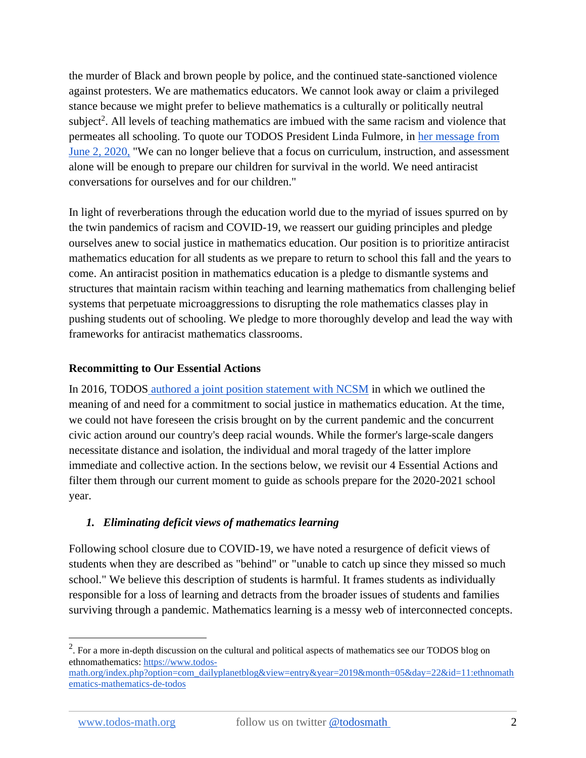the murder of Black and brown people by police, and the continued state-sanctioned violence against protesters. We are mathematics educators. We cannot look away or claim a privileged stance because we might prefer to believe mathematics is a culturally or politically neutral subject<sup>2</sup>. All levels of teaching mathematics are imbued with the same racism and violence that permeates all schooling. To quote our TODOS President Linda Fulmore, in [her message from](https://www.todos-math.org/president)  [June 2, 2020,](https://www.todos-math.org/president) "We can no longer believe that a focus on curriculum, instruction, and assessment alone will be enough to prepare our children for survival in the world. We need antiracist conversations for ourselves and for our children."

In light of reverberations through the education world due to the myriad of issues spurred on by the twin pandemics of racism and COVID-19, we reassert our guiding principles and pledge ourselves anew to social justice in mathematics education. Our position is to prioritize antiracist mathematics education for all students as we prepare to return to school this fall and the years to come. An antiracist position in mathematics education is a pledge to dismantle systems and structures that maintain racism within teaching and learning mathematics from challenging belief systems that perpetuate microaggressions to disrupting the role mathematics classes play in pushing students out of schooling. We pledge to more thoroughly develop and lead the way with frameworks for antiracist mathematics classrooms.

### **Recommitting to Our Essential Actions**

In 2016, TODOS [authored a joint position statement with NCSM](https://www.todos-math.org/socialjustice) in which we outlined the meaning of and need for a commitment to social justice in mathematics education. At the time, we could not have foreseen the crisis brought on by the current pandemic and the concurrent civic action around our country's deep racial wounds. While the former's large-scale dangers necessitate distance and isolation, the individual and moral tragedy of the latter implore immediate and collective action. In the sections below, we revisit our 4 Essential Actions and filter them through our current moment to guide as schools prepare for the 2020-2021 school year.

#### *1. Eliminating deficit views of mathematics learning*

Following school closure due to COVID-19, we have noted a resurgence of deficit views of students when they are described as "behind" or "unable to catch up since they missed so much school." We believe this description of students is harmful. It frames students as individually responsible for a loss of learning and detracts from the broader issues of students and families surviving through a pandemic. Mathematics learning is a messy web of interconnected concepts.

<sup>&</sup>lt;sup>2</sup>. For a more in-depth discussion on the cultural and political aspects of mathematics see our TODOS blog on ethnomathematics: [https://www.todos-](https://www.todos-math.org/index.php?option=com_dailyplanetblog&view=entry&year=2019&month=05&day=22&id=11:ethnomathematics-mathematics-de-todos)

[math.org/index.php?option=com\\_dailyplanetblog&view=entry&year=2019&month=05&day=22&id=11:ethnomath](https://www.todos-math.org/index.php?option=com_dailyplanetblog&view=entry&year=2019&month=05&day=22&id=11:ethnomathematics-mathematics-de-todos) [ematics-mathematics-de-todos](https://www.todos-math.org/index.php?option=com_dailyplanetblog&view=entry&year=2019&month=05&day=22&id=11:ethnomathematics-mathematics-de-todos)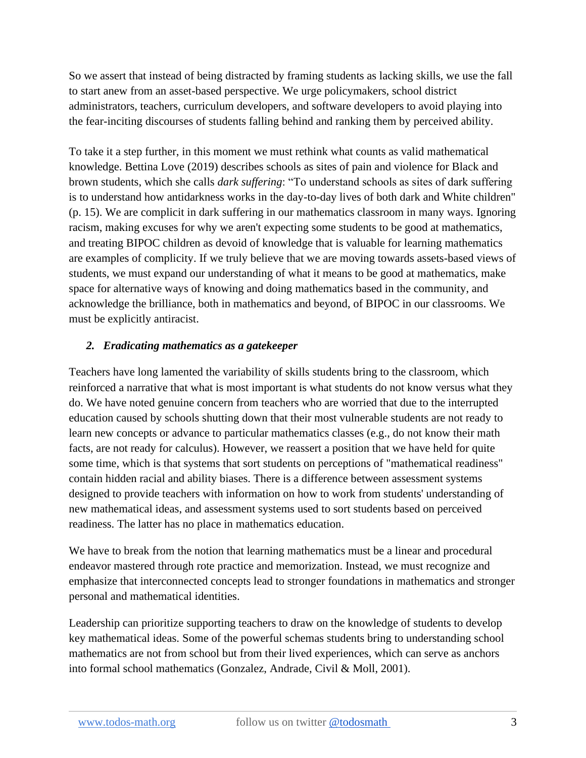So we assert that instead of being distracted by framing students as lacking skills, we use the fall to start anew from an asset-based perspective. We urge policymakers, school district administrators, teachers, curriculum developers, and software developers to avoid playing into the fear-inciting discourses of students falling behind and ranking them by perceived ability.

To take it a step further, in this moment we must rethink what counts as valid mathematical knowledge. Bettina Love (2019) describes schools as sites of pain and violence for Black and brown students, which she calls *dark suffering*: "To understand schools as sites of dark suffering is to understand how antidarkness works in the day-to-day lives of both dark and White children" (p. 15). We are complicit in dark suffering in our mathematics classroom in many ways. Ignoring racism, making excuses for why we aren't expecting some students to be good at mathematics, and treating BIPOC children as devoid of knowledge that is valuable for learning mathematics are examples of complicity. If we truly believe that we are moving towards assets-based views of students, we must expand our understanding of what it means to be good at mathematics, make space for alternative ways of knowing and doing mathematics based in the community, and acknowledge the brilliance, both in mathematics and beyond, of BIPOC in our classrooms. We must be explicitly antiracist.

#### *2. Eradicating mathematics as a gatekeeper*

Teachers have long lamented the variability of skills students bring to the classroom, which reinforced a narrative that what is most important is what students do not know versus what they do. We have noted genuine concern from teachers who are worried that due to the interrupted education caused by schools shutting down that their most vulnerable students are not ready to learn new concepts or advance to particular mathematics classes (e.g., do not know their math facts, are not ready for calculus). However, we reassert a position that we have held for quite some time, which is that systems that sort students on perceptions of "mathematical readiness" contain hidden racial and ability biases. There is a difference between assessment systems designed to provide teachers with information on how to work from students' understanding of new mathematical ideas, and assessment systems used to sort students based on perceived readiness. The latter has no place in mathematics education.

We have to break from the notion that learning mathematics must be a linear and procedural endeavor mastered through rote practice and memorization. Instead, we must recognize and emphasize that interconnected concepts lead to stronger foundations in mathematics and stronger personal and mathematical identities.

Leadership can prioritize supporting teachers to draw on the knowledge of students to develop key mathematical ideas. Some of the powerful schemas students bring to understanding school mathematics are not from school but from their lived experiences, which can serve as anchors into formal school mathematics (Gonzalez, Andrade, Civil & Moll, 2001).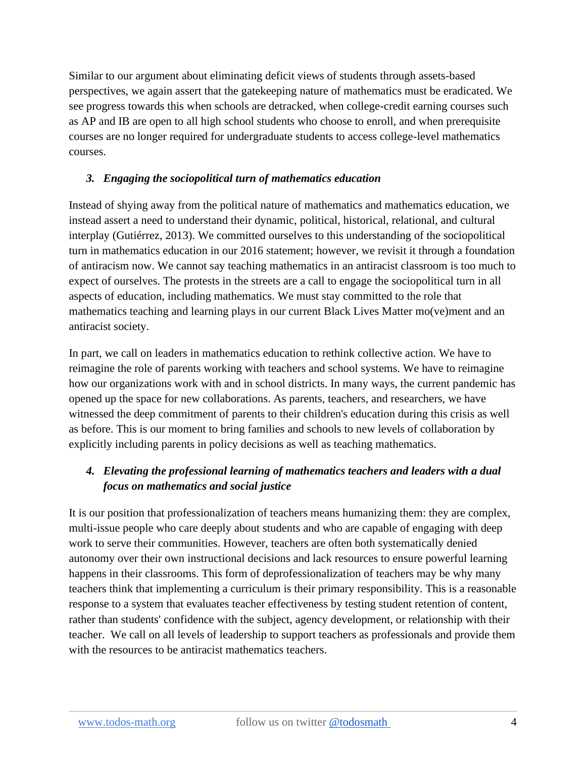Similar to our argument about eliminating deficit views of students through assets-based perspectives, we again assert that the gatekeeping nature of mathematics must be eradicated. We see progress towards this when schools are detracked, when college-credit earning courses such as AP and IB are open to all high school students who choose to enroll, and when prerequisite courses are no longer required for undergraduate students to access college-level mathematics courses.

### *3. Engaging the sociopolitical turn of mathematics education*

Instead of shying away from the political nature of mathematics and mathematics education, we instead assert a need to understand their dynamic, political, historical, relational, and cultural interplay (Gutiérrez, 2013). We committed ourselves to this understanding of the sociopolitical turn in mathematics education in our 2016 statement; however, we revisit it through a foundation of antiracism now. We cannot say teaching mathematics in an antiracist classroom is too much to expect of ourselves. The protests in the streets are a call to engage the sociopolitical turn in all aspects of education, including mathematics. We must stay committed to the role that mathematics teaching and learning plays in our current Black Lives Matter mo(ve)ment and an antiracist society.

In part, we call on leaders in mathematics education to rethink collective action. We have to reimagine the role of parents working with teachers and school systems. We have to reimagine how our organizations work with and in school districts. In many ways, the current pandemic has opened up the space for new collaborations. As parents, teachers, and researchers, we have witnessed the deep commitment of parents to their children's education during this crisis as well as before. This is our moment to bring families and schools to new levels of collaboration by explicitly including parents in policy decisions as well as teaching mathematics.

### *4. Elevating the professional learning of mathematics teachers and leaders with a dual focus on mathematics and social justice*

It is our position that professionalization of teachers means humanizing them: they are complex, multi-issue people who care deeply about students and who are capable of engaging with deep work to serve their communities. However, teachers are often both systematically denied autonomy over their own instructional decisions and lack resources to ensure powerful learning happens in their classrooms. This form of deprofessionalization of teachers may be why many teachers think that implementing a curriculum is their primary responsibility. This is a reasonable response to a system that evaluates teacher effectiveness by testing student retention of content, rather than students' confidence with the subject, agency development, or relationship with their teacher. We call on all levels of leadership to support teachers as professionals and provide them with the resources to be antiracist mathematics teachers.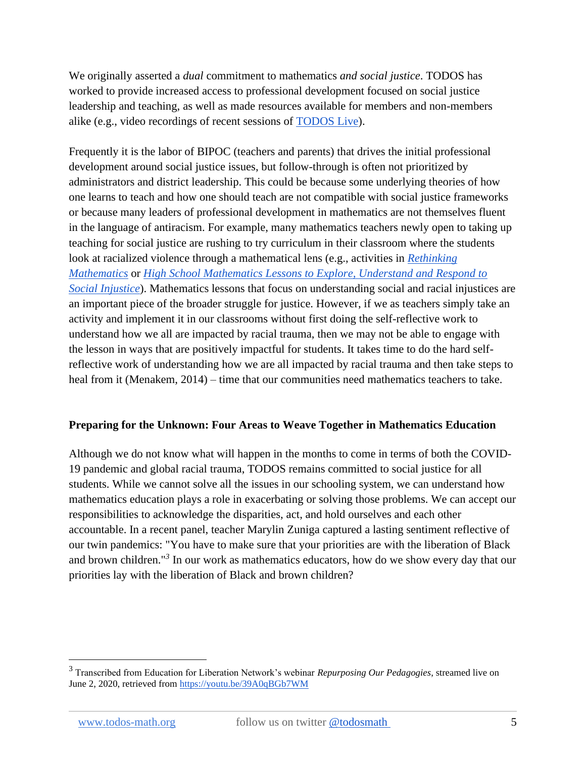We originally asserted a *dual* commitment to mathematics *and social justice*. TODOS has worked to provide increased access to professional development focused on social justice leadership and teaching, as well as made resources available for members and non-members alike (e.g., video recordings of recent sessions of [TODOS Live\)](https://www.todos-math.org/todos-live).

Frequently it is the labor of BIPOC (teachers and parents) that drives the initial professional development around social justice issues, but follow-through is often not prioritized by administrators and district leadership. This could be because some underlying theories of how one learns to teach and how one should teach are not compatible with social justice frameworks or because many leaders of professional development in mathematics are not themselves fluent in the language of antiracism. For example, many mathematics teachers newly open to taking up teaching for social justice are rushing to try curriculum in their classroom where the students look at racialized violence through a mathematical lens (e.g., activities in *[Rethinking](https://rethinkingschools.org/books/rethinking-mathematics-second-edition/)  [Mathematics](https://rethinkingschools.org/books/rethinking-mathematics-second-edition/)* or *[High School Mathematics Lessons to Explore, Understand and Respond to](https://us.corwin.com/en-us/nam/high-school-mathematics-lessons-to-explore-understand-and-respond-to-social-injustice/book262378)  [Social Injustice](https://us.corwin.com/en-us/nam/high-school-mathematics-lessons-to-explore-understand-and-respond-to-social-injustice/book262378)*). Mathematics lessons that focus on understanding social and racial injustices are an important piece of the broader struggle for justice. However, if we as teachers simply take an activity and implement it in our classrooms without first doing the self-reflective work to understand how we all are impacted by racial trauma, then we may not be able to engage with the lesson in ways that are positively impactful for students. It takes time to do the hard selfreflective work of understanding how we are all impacted by racial trauma and then take steps to heal from it (Menakem, 2014) – time that our communities need mathematics teachers to take.

#### **Preparing for the Unknown: Four Areas to Weave Together in Mathematics Education**

Although we do not know what will happen in the months to come in terms of both the COVID-19 pandemic and global racial trauma, TODOS remains committed to social justice for all students. While we cannot solve all the issues in our schooling system, we can understand how mathematics education plays a role in exacerbating or solving those problems. We can accept our responsibilities to acknowledge the disparities, act, and hold ourselves and each other accountable. In a recent panel, teacher Marylin Zuniga captured a lasting sentiment reflective of our twin pandemics: "You have to make sure that your priorities are with the liberation of Black and brown children."*<sup>3</sup>* In our work as mathematics educators, how do we show every day that our priorities lay with the liberation of Black and brown children?

<sup>3</sup> Transcribed from Education for Liberation Network's webinar *Repurposing Our Pedagogies*, streamed live on June 2, 2020, retrieved from<https://youtu.be/39A0qBGb7WM>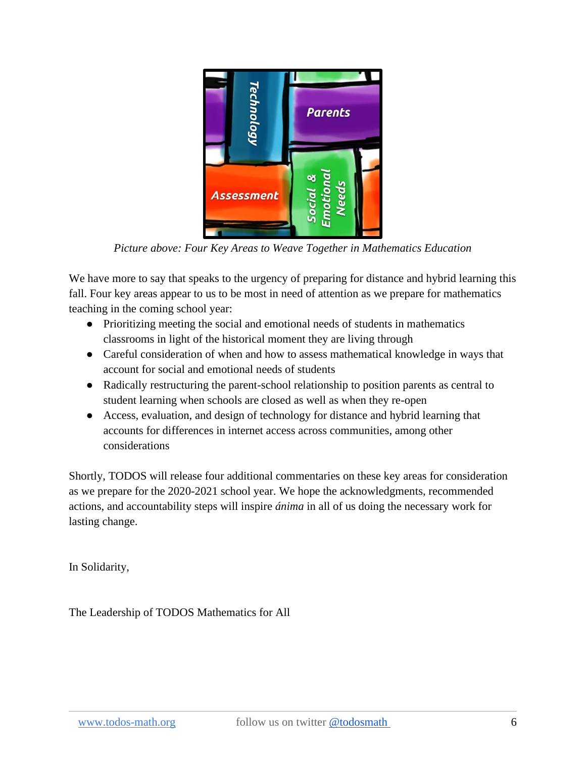

*Picture above: Four Key Areas to Weave Together in Mathematics Education* 

We have more to say that speaks to the urgency of preparing for distance and hybrid learning this fall. Four key areas appear to us to be most in need of attention as we prepare for mathematics teaching in the coming school year:

- Prioritizing meeting the social and emotional needs of students in mathematics classrooms in light of the historical moment they are living through
- Careful consideration of when and how to assess mathematical knowledge in ways that account for social and emotional needs of students
- Radically restructuring the parent-school relationship to position parents as central to student learning when schools are closed as well as when they re-open
- Access, evaluation, and design of technology for distance and hybrid learning that accounts for differences in internet access across communities, among other considerations

Shortly, TODOS will release four additional commentaries on these key areas for consideration as we prepare for the 2020-2021 school year. We hope the acknowledgments, recommended actions, and accountability steps will inspire *ánima* in all of us doing the necessary work for lasting change.

In Solidarity,

The Leadership of TODOS Mathematics for All